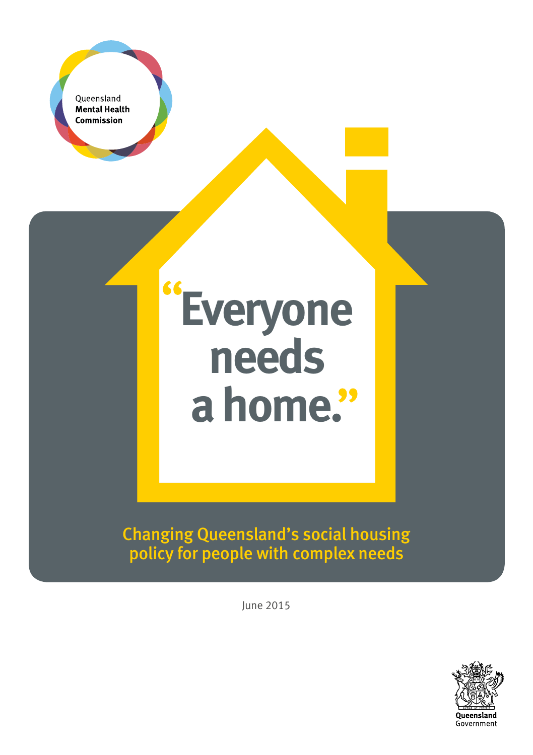

Changing Queensland's social housing policy for people with complex needs

June 2015

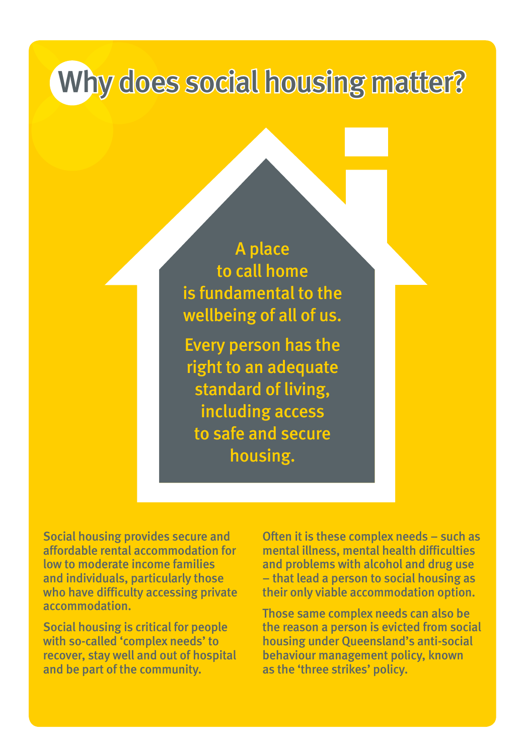# Why does social housing matter?

A place to call home is fundamental to the wellbeing of all of us.

Every person has the right to an adequate standard of living, including access to safe and secure housing.

Social housing provides secure and affordable rental accommodation for low to moderate income families and individuals, particularly those who have difficulty accessing private accommodation.

Social housing is critical for people with so-called 'complex needs' to recover, stay well and out of hospital and be part of the community.

Often it i[s thes](https://www.facebook.com/qldmentalhealthcommission)[e comp](https://twitter.com/Qld_MHC)lex needs – such as mental illness, mental health difficulties and problems with alcohol and drug use – that lead a person to social housing as their only viable accommodation option.

Those same complex needs can also be the reason a person is evicted from social housing under Queensland's anti-social behaviour management policy, known as the 'three strikes' policy.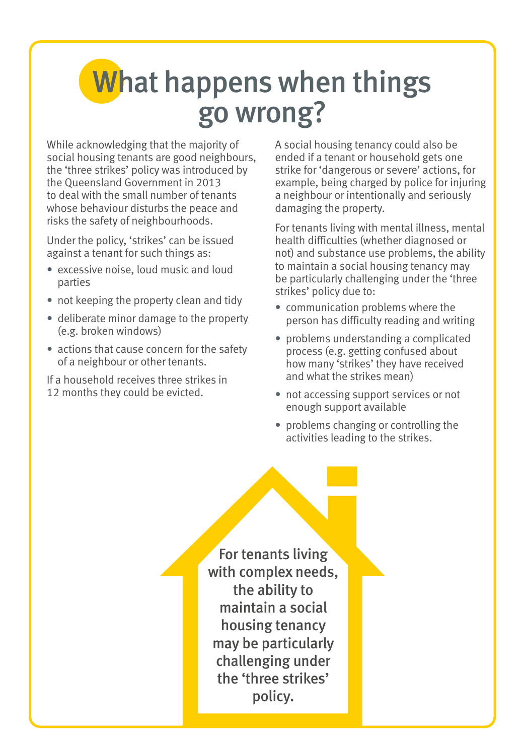# What happens when things go wrong?

While acknowledging that the majority of social housing tenants are good neighbours, the 'three strikes' policy was introduced by the Queensland Government in 2013 to deal with the small number of tenants whose behaviour disturbs the peace and risks the safety of neighbourhoods.

Under the policy, 'strikes' can be issued against a tenant for such things as:

- excessive noise, loud music and loud parties
- not keeping the property clean and tidy
- deliberate minor damage to the property (e.g. broken windows)
- actions that cause concern for the safety of a neighbour or other tenants.

If a household receives three strikes in 12 months they could be evicted.

A social housing tenancy could also be ended if a tenant or household gets one strike for 'dangerous or severe' actions, for example, being charged by police for injuring a neighbour or intentionally and seriously damaging the property.

For tenants living with mental illness, mental health difficulties (whether diagnosed or not) and substance use problems, the ability to maintain a social housing tenancy may be particularly challenging under the 'three strikes' policy due to:

- communication problems where the person has difficulty reading and writing
- problems understanding a complicated process (e.g. getting confused about how many 'strikes' they have received and what the strikes mean)
- not accessing support services or not enough support available
- problems changing or controlling the activities leading to the strikes.

For tenants living with complex needs, the ability to maintain a social housing tenancy may be particularly challenging under the 'three strikes' policy.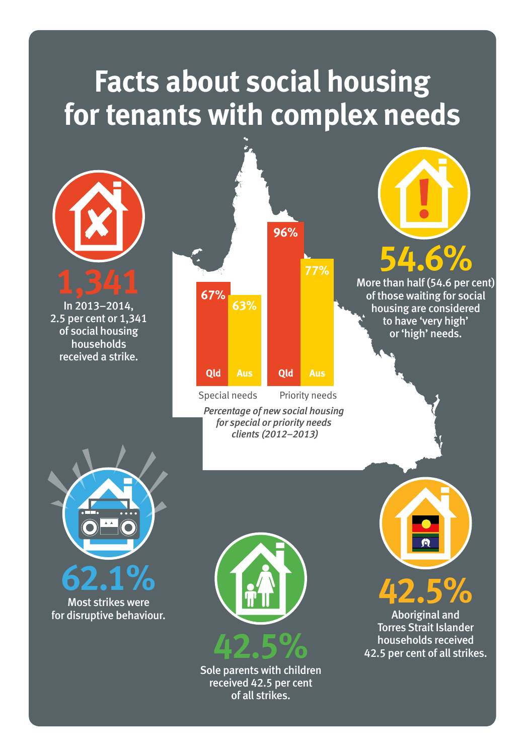# **Facts about social housing for tenants with complex needs**



In 2013–2014, 2.5 per cent or 1,341 of social housing households received a strike.



*Percentage of new social housing for special or priority needs clients (2012–2013)*



More than half (54.6 per cent) of those waiting for social housing are considered to have 'very high' or 'high' needs.



Most strikes were for disruptive behaviour.



Sole parents with children received 42.5 per cent of all strikes.





Aboriginal and Torres Strait Islander households received 42.5 per cent of all strikes.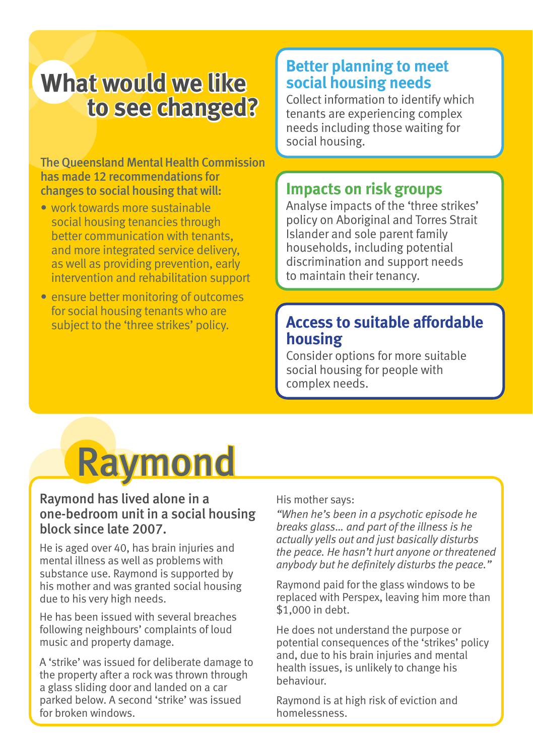## **What would we like to see changed?**

The Queensland Mental Health Commission has made 12 recommendations for changes to social housing that will:

- work towards more sustainable social housing tenancies through better communication with tenants, and more integrated service delivery, as well as providing prevention, early intervention and rehabilitation support
- ensure better monitoring of outcomes for social housing tenants who are subject to the 'three strikes' policy.

#### **Better planning to meet social housing needs**

Collect information to identify which tenants are experiencing complex needs including those waiting for social housing.

#### **Impacts on risk groups**

Analyse impacts of the 'three strikes' policy on Aboriginal and Torres Strait Islander and sole parent family households, including potential discrimination and support needs to maintain their tenancy.

### **Access to suitable affordable housing**

Consider options for more suitable social housing for people with complex needs.



#### Raymond has lived alone in a one-bedroom unit in a social housing block since late 2007.

He is aged over 40, has brain injuries and mental illness as well as problems with substance use. Raymond is supported by his mother and was granted social housing due to his very high needs.

He has been issued with several breaches following neighbours' complaints of loud music and property damage.

A 'strike' was issued for deliberate damage to the property after a rock was thrown through a glass sliding door and landed on a car parked below. A second 'strike' was issued for broken windows.

His mother says:

*"When he's been in a psychotic episode he breaks glass… and part of the illness is he actually yells out and just basically disturbs the peace. He hasn't hurt anyone or threatened anybody but he definitely disturbs the peace."*

Raymond paid for the glass windows to be replaced with Perspex, leaving him more than \$1,000 in debt.

He does not understand the purpose or potential consequences of the 'strikes' policy and, due to his brain injuries and mental health issues, is unlikely to change his behaviour.

Raymond is at high risk of eviction and homelessness.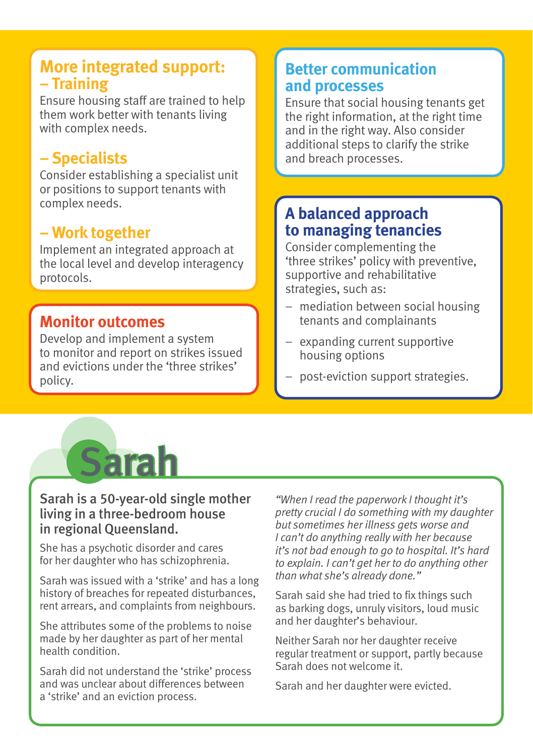### **More integrated support: – Training**

Ensure housing staff are trained to help them work better with tenants living with complex needs.

### **– Specialists**

Consider establishing a specialist unit or positions to support tenants with complex needs.

#### **– Work together**

Implement an integrated approach at the local level and develop interagency protocols.

### **Monitor outcomes**

Develop and implement a system to monitor and report on strikes issued and evictions under the 'three strikes' policy.

#### **Better communication and processes**

Ensure that social housing tenants get the right information, at the right time and in the right way. Also consider additional steps to clarify the strike and breach processes.

### **A balanced approach to managing tenancies**

Consider complementing the 'three strikes' policy with preventive, supportive and rehabilitative strategies, such as:

- mediation between social housing tenants and complainants
- expanding current supportive housing options
- post-eviction support strategies.



#### Sarah is a 50-year-old single mother living in a three-bedroom house in regional Queensland.

She has a psychotic disorder and cares for her daughter who has schizophrenia.

Sarah was issued with a 'strike' and has a long history of breaches for repeated disturbances, rent arrears, and complaints from neighbours.

She attributes some of the problems to noise made by her daughter as part of her mental health condition.

Sarah did not understand the 'strike' process and was unclear about differences between a 'strike' and an eviction process.

*"When I read the paperwork I thought it's pretty crucial I do something with my daughter but sometimes her illness gets worse and I can't do anything really with her because it's not bad enough to go to hospital. It's hard to explain. I can't get her to do anything other than what she's already done."*

Sarah said she had tried to fix things such as barking dogs, unruly visitors, loud music and her daughter's behaviour.

Neither Sarah nor her daughter receive regular treatment or support, partly because Sarah does not welcome it.

Sarah and her daughter were evicted.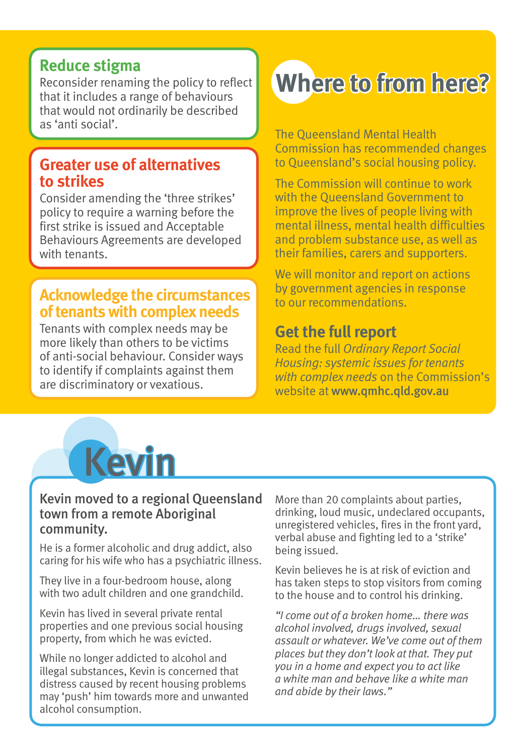#### **Reduce stigma**

Reconsider renaming the policy to reflect that it includes a range of behaviours that would not ordinarily be described as 'anti social'.

#### **Greater use of alternatives to strikes**

Consider amending the 'three strikes' policy to require a warning before the first strike is issued and Acceptable Behaviours Agreements are developed with tenants.

#### **Acknowledge the circumstances of tenants with complex needs**

Tenants with complex needs may be more likely than others to be victims of anti-social behaviour. Consider ways to identify if complaints against them are discriminatory or vexatious.

# **Where to from here?**

The Queensland Mental Health Commission has recommended changes to Queensland's social housing policy.

The Commission will continue to work with the Queensland Government to improve the lives of people living with mental illness, mental health difficulties and problem substance use, as well as their families, carers and supporters.

We will monitor and report on actions by government agencies in response to our recommendations.

### **Get the full report**

Read the full *Ordinary Report Social Housing: systemic issues for tenants with complex needs* on the Commission's website at www.qmhc.qld.gov.au



#### Kevin moved to a regional Queensland town from a remote Aboriginal community.

He is a former alcoholic and drug addict, also caring for his wife who has a psychiatric illness.

They live in a four-bedroom house, along with two adult children and one grandchild.

Kevin has lived in several private rental properties and one previous social housing property, from which he was evicted.

While no longer addicted to alcohol and illegal substances, Kevin is concerned that distress caused by recent housing problems may 'push' him towards more and unwanted alcohol consumption.

More than 20 complaints about parties, drinking, loud music, undeclared occupants, unregistered vehicles, fires in the front yard, verbal abuse and fighting led to a 'strike' being issued.

Kevin believes he is at risk of eviction and has taken steps to stop visitors from coming to the house and to control his drinking.

*"I come out of a broken home… there was alcohol involved, drugs involved, sexual assault or whatever. We've come out of them places but they don't look at that. They put you in a home and expect you to act like a white man and behave like a white man and abide by their laws."*